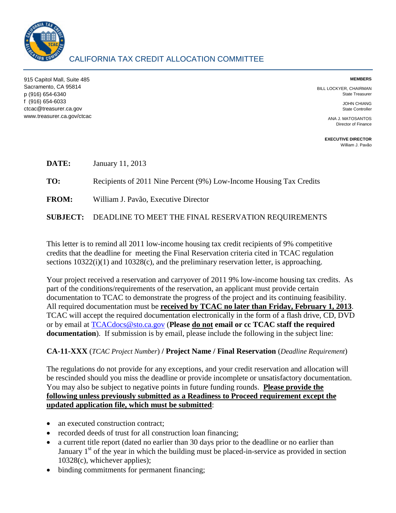

915 Capitol Mall, Suite 485 Sacramento, CA 95814 p (916) 654-6340 f (916) 654-6033 ctcac@treasurer.ca.gov www.treasurer.ca.gov/ctcac

## **MEMBERS**

BILL LOCKYER, CHAIRMAN State Treasurer

> JOHN CHIANG State Controller

ANA J. MATOSANTOS Director of Finance

**EXECUTIVE DIRECTOR**  [William J. Pavão](mailto:wpavao@treasurer.ca.gov)

| DATE:        | January 11, 2013                                                    |
|--------------|---------------------------------------------------------------------|
| TO:          | Recipients of 2011 Nine Percent (9%) Low-Income Housing Tax Credits |
| <b>FROM:</b> | William J. Pavão, Executive Director                                |
|              | <b>SUBJECT: DEADLINE TO MEET THE FINAL RESERVATION REQUIREMENTS</b> |

This letter is to remind all 2011 low-income housing tax credit recipients of 9% competitive credits that the deadline for meeting the Final Reservation criteria cited in TCAC regulation sections  $10322(i)(1)$  and  $10328(c)$ , and the preliminary reservation letter, is approaching.

Your project received a reservation and carryover of 2011 9% low-income housing tax credits. As part of the conditions/requirements of the reservation, an applicant must provide certain documentation to TCAC to demonstrate the progress of the project and its continuing feasibility. All required documentation must be **received by TCAC no later than Friday, February 1, 2013**. TCAC will accept the required documentation electronically in the form of a flash drive, CD, DVD or by email at [TCACdocs@sto.ca.gov](mailto:TCACdocs@sto.ca.gov) (**Please do not email or cc TCAC staff the required documentation**). If submission is by email, please include the following in the subject line:

## **CA-11-XXX** (*TCAC Project Number*) **/ Project Name / Final Reservation** (*Deadline Requirement*)

The regulations do not provide for any exceptions, and your credit reservation and allocation will be rescinded should you miss the deadline or provide incomplete or unsatisfactory documentation. You may also be subject to negative points in future funding rounds. **Please provide the following unless previously submitted as a Readiness to Proceed requirement except the updated application file, which must be submitted**:

- an executed construction contract:
- recorded deeds of trust for all construction loan financing;
- a current title report (dated no earlier than 30 days prior to the deadline or no earlier than January  $1<sup>st</sup>$  of the year in which the building must be placed-in-service as provided in section 10328(c), whichever applies);
- binding commitments for permanent financing;